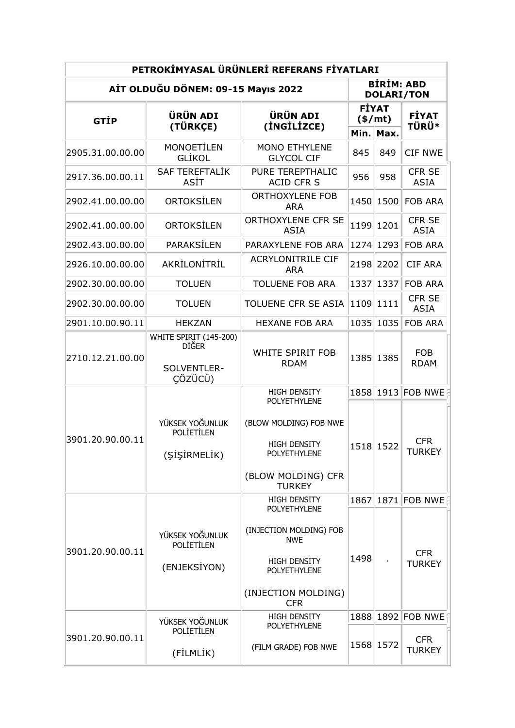| PETROKİMYASAL ÜRÜNLERİ REFERANS FİYATLARI |                                                                  |                                                                                      |                          |                                        |                              |  |  |  |
|-------------------------------------------|------------------------------------------------------------------|--------------------------------------------------------------------------------------|--------------------------|----------------------------------------|------------------------------|--|--|--|
| AİT OLDUĞU DÖNEM: 09-15 Mayıs 2022        |                                                                  |                                                                                      |                          | <b>BİRİM: ABD</b><br><b>DOLARI/TON</b> |                              |  |  |  |
| <b>GTIP</b>                               | <b>ÜRÜN ADI</b><br>(TÜRKÇE)                                      | <b>ÜRÜN ADI</b><br>(INGILIZCE)                                                       | <b>FİYAT</b><br>$(*/mt)$ |                                        | <b>FİYAT</b><br><b>TÜRÜ*</b> |  |  |  |
|                                           |                                                                  |                                                                                      |                          | Min. Max.                              |                              |  |  |  |
| 2905.31.00.00.00                          | <b>MONOETİLEN</b><br>GLİKOL                                      | <b>MONO ETHYLENE</b><br><b>GLYCOL CIF</b>                                            | 845                      | 849                                    | <b>CIF NWE</b>               |  |  |  |
| 2917.36.00.00.11                          | <b>SAF TEREFTALİK</b><br>ASİT                                    | PURE TEREPTHALIC<br><b>ACID CFR S</b>                                                | 956                      | 958                                    | <b>CFR SE</b><br><b>ASIA</b> |  |  |  |
| 2902.41.00.00.00                          | ORTOKSİLEN                                                       | <b>ORTHOXYLENE FOB</b><br><b>ARA</b>                                                 | 1450                     | 1500                                   | <b>FOB ARA</b>               |  |  |  |
| 2902.41.00.00.00                          | ORTOKSİLEN                                                       | ORTHOXYLENE CFR SE<br><b>ASIA</b>                                                    | 1199                     | 1201                                   | <b>CFR SE</b><br><b>ASIA</b> |  |  |  |
| 2902.43.00.00.00                          | PARAKSİLEN                                                       | PARAXYLENE FOB ARA                                                                   | 1274                     | 1293                                   | <b>FOB ARA</b>               |  |  |  |
| 2926.10.00.00.00                          | AKRİLONİTRİL                                                     | <b>ACRYLONITRILE CIF</b><br><b>ARA</b>                                               | 2198                     | 2202                                   | <b>CIF ARA</b>               |  |  |  |
| 2902.30.00.00.00                          | <b>TOLUEN</b>                                                    | <b>TOLUENE FOB ARA</b>                                                               | 1337                     | 1337                                   | <b>FOB ARA</b>               |  |  |  |
| 2902.30.00.00.00                          | <b>TOLUEN</b>                                                    | TOLUENE CFR SE ASIA                                                                  | 1109                     | 1111                                   | <b>CFR SE</b><br><b>ASIA</b> |  |  |  |
| 2901.10.00.90.11                          | <b>HEKZAN</b>                                                    | <b>HEXANE FOB ARA</b>                                                                | 1035                     | 1035                                   | <b>FOB ARA</b>               |  |  |  |
| 2710.12.21.00.00                          | WHITE SPIRIT (145-200)<br><b>DIĞER</b><br>SOLVENTLER-<br>CÖZÜCÜ) | <b>WHITE SPIRIT FOB</b><br><b>RDAM</b>                                               | 1385                     | 1385                                   | <b>FOB</b><br><b>RDAM</b>    |  |  |  |
|                                           |                                                                  | <b>HIGH DENSITY</b>                                                                  | 1858                     | 1913                                   | FOB NWE                      |  |  |  |
| 3901.20.90.00.11                          | YÜKSEK YOĞUNLUK<br><b>POLIETILEN</b><br>(ŞİŞİRMELİK)             | <b>POLYETHYLENE</b><br>(BLOW MOLDING) FOB NWE<br><b>HIGH DENSITY</b><br>POLYETHYLENE | 1518 1522                |                                        | <b>CFR</b><br>TURKEY         |  |  |  |
|                                           |                                                                  | (BLOW MOLDING) CFR<br><b>TURKEY</b>                                                  |                          |                                        |                              |  |  |  |
| 3901.20.90.00.11                          |                                                                  | <b>HIGH DENSITY</b>                                                                  | 1867                     |                                        | 1871 FOB NWE                 |  |  |  |
|                                           | YÜKSEK YOĞUNLUK<br><b>POLIETILEN</b>                             | POLYETHYLENE<br>(INJECTION MOLDING) FOB<br><b>NWE</b>                                | 1498                     |                                        | <b>CFR</b><br><b>TURKEY</b>  |  |  |  |
|                                           | (ENJEKSİYON)                                                     | HIGH DENSITY<br>POLYETHYLENE                                                         |                          |                                        |                              |  |  |  |
|                                           |                                                                  | (INJECTION MOLDING)<br><b>CFR</b>                                                    |                          |                                        |                              |  |  |  |
|                                           | YÜKSEK YOĞUNLUK                                                  | <b>HIGH DENSITY</b>                                                                  | 1888                     |                                        | 1892 FOB NWE F               |  |  |  |
| 3901.20.90.00.11                          | <b>POLİETİLEN</b><br>(FİLMLİK)                                   | POLYETHYLENE<br>(FILM GRADE) FOB NWE                                                 |                          | 1568 1572                              | <b>CFR</b><br><b>TURKEY</b>  |  |  |  |